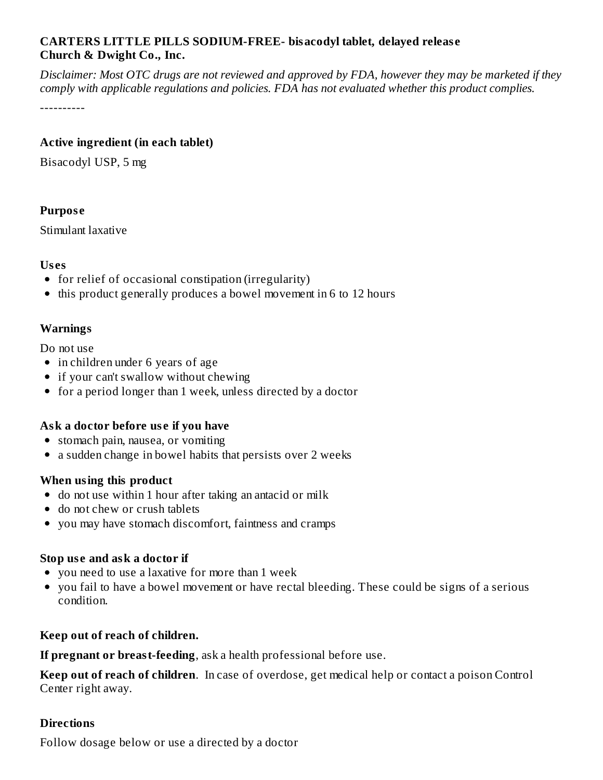## **CARTERS LITTLE PILLS SODIUM-FREE- bisacodyl tablet, delayed releas e Church & Dwight Co., Inc.**

Disclaimer: Most OTC drugs are not reviewed and approved by FDA, however they may be marketed if they *comply with applicable regulations and policies. FDA has not evaluated whether this product complies.*

----------

#### **Active ingredient (in each tablet)**

Bisacodyl USP, 5 mg

#### **Purpos e**

Stimulant laxative

#### **Us es**

- for relief of occasional constipation (irregularity)
- $\bullet$  this product generally produces a bowel movement in 6 to 12 hours

# **Warnings**

Do not use

- in children under 6 years of age
- if your can't swallow without chewing
- for a period longer than 1 week, unless directed by a doctor

## **Ask a doctor before us e if you have**

- stomach pain, nausea, or vomiting
- a sudden change in bowel habits that persists over 2 weeks

## **When using this product**

- do not use within 1 hour after taking an antacid or milk
- do not chew or crush tablets
- you may have stomach discomfort, faintness and cramps

## **Stop us e and ask a doctor if**

- you need to use a laxative for more than 1 week
- you fail to have a bowel movement or have rectal bleeding. These could be signs of a serious condition.

## **Keep out of reach of children.**

**If pregnant or breast-feeding**, ask a health professional before use.

**Keep out of reach of children**. In case of overdose, get medical help or contact a poison Control Center right away.

## **Directions**

Follow dosage below or use a directed by a doctor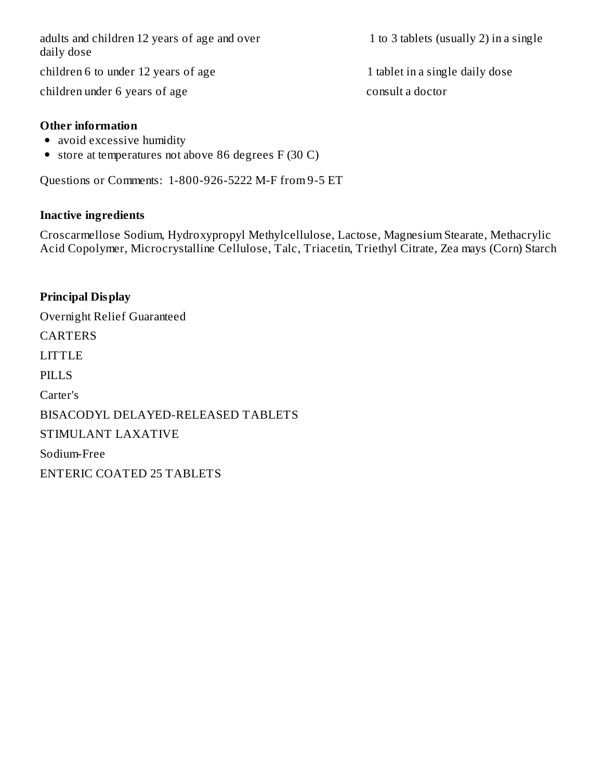adults and children 12 years of age and over 1 to 3 tablets (usually 2) in a single daily dose children 6 to under 12 years of age 1 tablet in a single daily dose children under 6 years of age consult a doctor

#### **Other information**

- avoid excessive humidity
- store at temperatures not above 86 degrees F (30 C)

Questions or Comments: 1-800-926-5222 M-F from 9-5 ET

#### **Inactive ingredients**

Croscarmellose Sodium, Hydroxypropyl Methylcellulose, Lactose, Magnesium Stearate, Methacrylic Acid Copolymer, Microcrystalline Cellulose, Talc, Triacetin, Triethyl Citrate, Zea mays (Corn) Starch

## **Principal Display**

Overnight Relief Guaranteed CARTERS LITTLE PILLS Carter's BISACODYL DELAYED-RELEASED TABLETS STIMULANT LAXATIVE Sodium-Free ENTERIC COATED 25 TABLETS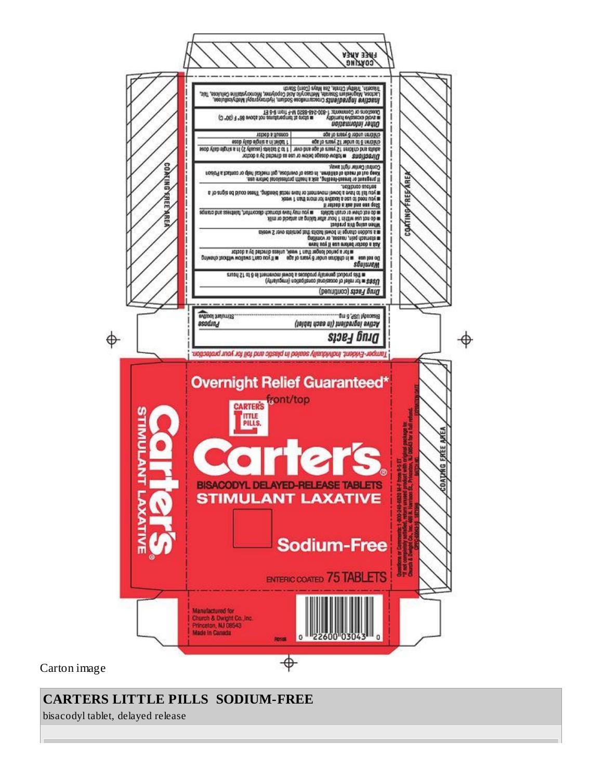

Carton image

**CARTERS LITTLE PILLS SODIUM-FREE**

bisacodyl tablet, delayed release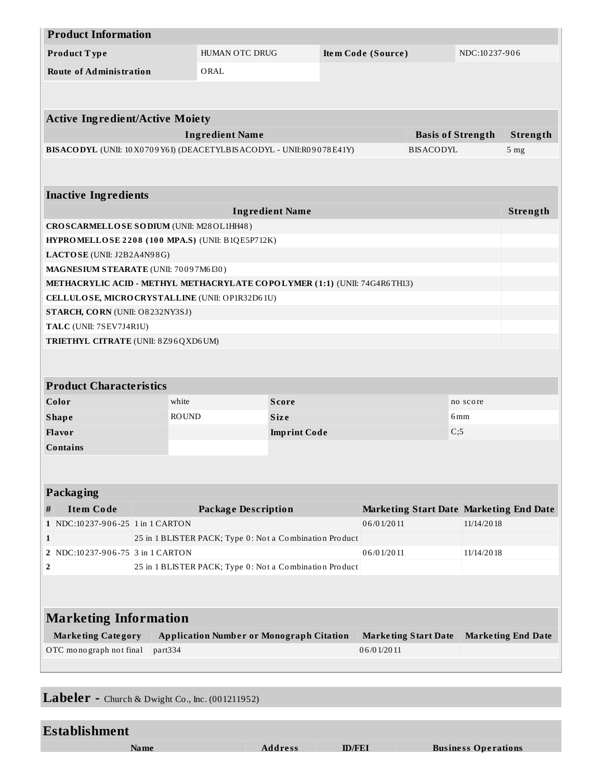| <b>Product Information</b>                                                                                                   |                                                         |                                                                              |                          |                          |                                                |                             |               |                           |  |
|------------------------------------------------------------------------------------------------------------------------------|---------------------------------------------------------|------------------------------------------------------------------------------|--------------------------|--------------------------|------------------------------------------------|-----------------------------|---------------|---------------------------|--|
| Product Type                                                                                                                 |                                                         | HUMAN OTC DRUG                                                               |                          | Item Code (Source)       |                                                |                             | NDC:10237-906 |                           |  |
| <b>Route of Administration</b>                                                                                               |                                                         | ORAL                                                                         |                          |                          |                                                |                             |               |                           |  |
|                                                                                                                              |                                                         |                                                                              |                          |                          |                                                |                             |               |                           |  |
|                                                                                                                              |                                                         |                                                                              |                          |                          |                                                |                             |               |                           |  |
| <b>Active Ingredient/Active Moiety</b>                                                                                       |                                                         |                                                                              |                          |                          |                                                |                             |               |                           |  |
| <b>Ingredient Name</b><br><b>Basis of Strength</b>                                                                           |                                                         |                                                                              |                          |                          |                                                |                             | Strength      |                           |  |
|                                                                                                                              |                                                         | BISACODYL (UNII: 10 X0 70 9 Y6 I) (DEACETYLBISACODYL - UNII: R0 9 0 78 E41Y) |                          |                          | <b>BISACODYL</b>                               |                             |               | 5 <sub>mg</sub>           |  |
|                                                                                                                              |                                                         |                                                                              |                          |                          |                                                |                             |               |                           |  |
|                                                                                                                              |                                                         |                                                                              |                          |                          |                                                |                             |               |                           |  |
| <b>Inactive Ingredients</b>                                                                                                  |                                                         |                                                                              |                          |                          |                                                |                             |               |                           |  |
|                                                                                                                              |                                                         |                                                                              | <b>Ingredient Name</b>   |                          |                                                |                             |               | Strength                  |  |
| CROSCARMELLOSE SODIUM (UNII: M28OL1HH48)                                                                                     |                                                         |                                                                              |                          |                          |                                                |                             |               |                           |  |
|                                                                                                                              |                                                         | HYPROMELLOSE 2208 (100 MPA.S) (UNII: B1QE5P712K)                             |                          |                          |                                                |                             |               |                           |  |
| LACTOSE (UNII: J2B2A4N98G)                                                                                                   |                                                         |                                                                              |                          |                          |                                                |                             |               |                           |  |
| MAGNESIUM STEARATE (UNII: 70097M6I30)                                                                                        |                                                         |                                                                              |                          |                          |                                                |                             |               |                           |  |
| METHACRYLIC ACID - METHYL METHACRYLATE COPOLYMER (1:1) (UNII: 74G4R6TH13)<br>CELLULOSE, MICRO CRYSTALLINE (UNII: OP1R32D61U) |                                                         |                                                                              |                          |                          |                                                |                             |               |                           |  |
| STARCH, CORN (UNII: O8232NY3SJ)                                                                                              |                                                         |                                                                              |                          |                          |                                                |                             |               |                           |  |
| TALC (UNII: 7SEV7J4R1U)                                                                                                      |                                                         |                                                                              |                          |                          |                                                |                             |               |                           |  |
| TRIETHYL CITRATE (UNII: 8Z96QXD6UM)                                                                                          |                                                         |                                                                              |                          |                          |                                                |                             |               |                           |  |
|                                                                                                                              |                                                         |                                                                              |                          |                          |                                                |                             |               |                           |  |
|                                                                                                                              |                                                         |                                                                              |                          |                          |                                                |                             |               |                           |  |
| <b>Product Characteristics</b>                                                                                               |                                                         |                                                                              |                          |                          |                                                |                             |               |                           |  |
| Color                                                                                                                        |                                                         | white                                                                        | <b>Score</b><br>no score |                          |                                                |                             |               |                           |  |
| <b>Shape</b>                                                                                                                 | <b>ROUND</b><br>Size                                    |                                                                              |                          |                          | 6mm                                            |                             |               |                           |  |
| Flavor                                                                                                                       |                                                         | C;5<br><b>Imprint Code</b>                                                   |                          |                          |                                                |                             |               |                           |  |
| <b>Contains</b>                                                                                                              |                                                         |                                                                              |                          |                          |                                                |                             |               |                           |  |
|                                                                                                                              |                                                         |                                                                              |                          |                          |                                                |                             |               |                           |  |
|                                                                                                                              |                                                         |                                                                              |                          |                          |                                                |                             |               |                           |  |
| Packaging                                                                                                                    |                                                         |                                                                              |                          |                          |                                                |                             |               |                           |  |
| <b>Item Code</b><br>#                                                                                                        |                                                         | <b>Package Description</b>                                                   |                          |                          | <b>Marketing Start Date Marketing End Date</b> |                             |               |                           |  |
| 1 NDC:10237-906-25 1 in 1 CARTON                                                                                             |                                                         |                                                                              |                          | 06/01/2011               |                                                |                             | 11/14/2018    |                           |  |
| $\mathbf{1}$                                                                                                                 | 25 in 1 BLISTER PACK; Type 0: Not a Combination Product |                                                                              |                          |                          |                                                |                             |               |                           |  |
| 2 NDC:10237-906-75 3 in 1 CARTON                                                                                             |                                                         |                                                                              |                          | 06/01/2011<br>11/14/2018 |                                                |                             |               |                           |  |
| 2<br>25 in 1 BLISTER PACK; Type 0: Not a Combination Product                                                                 |                                                         |                                                                              |                          |                          |                                                |                             |               |                           |  |
|                                                                                                                              |                                                         |                                                                              |                          |                          |                                                |                             |               |                           |  |
|                                                                                                                              |                                                         |                                                                              |                          |                          |                                                |                             |               |                           |  |
| <b>Marketing Information</b>                                                                                                 |                                                         |                                                                              |                          |                          |                                                |                             |               |                           |  |
| <b>Marketing Category</b>                                                                                                    |                                                         | <b>Application Number or Monograph Citation</b>                              |                          |                          |                                                | <b>Marketing Start Date</b> |               | <b>Marketing End Date</b> |  |
| OTC monograph not final                                                                                                      | part334                                                 |                                                                              |                          |                          | 06/01/2011                                     |                             |               |                           |  |
|                                                                                                                              |                                                         |                                                                              |                          |                          |                                                |                             |               |                           |  |
|                                                                                                                              |                                                         |                                                                              |                          |                          |                                                |                             |               |                           |  |

**Labeler -** Church & Dwight Co., Inc. (001211952)

| <b>Establishment</b> |                |               |                            |  |  |  |
|----------------------|----------------|---------------|----------------------------|--|--|--|
| Name                 | <b>Address</b> | <b>ID/FEI</b> | <b>Business Operations</b> |  |  |  |
|                      |                |               |                            |  |  |  |